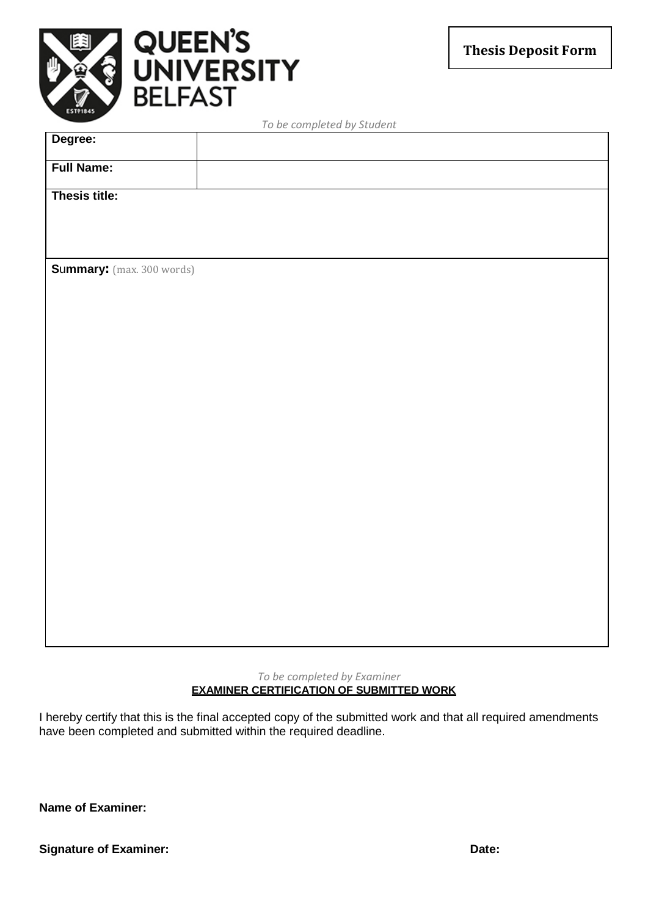



| Degree:                   |  |  |  |
|---------------------------|--|--|--|
| <b>Full Name:</b>         |  |  |  |
| Thesis title:             |  |  |  |
|                           |  |  |  |
| Summary: (max. 300 words) |  |  |  |
|                           |  |  |  |
|                           |  |  |  |
|                           |  |  |  |
|                           |  |  |  |
|                           |  |  |  |
|                           |  |  |  |
|                           |  |  |  |
|                           |  |  |  |
|                           |  |  |  |
|                           |  |  |  |
|                           |  |  |  |

*To be completed by Student*

*To be completed by Examiner* **EXAMINER CERTIFICATION OF SUBMITTED WORK**

I hereby certify that this is the final accepted copy of the submitted work and that all required amendments have been completed and submitted within the required deadline.

**Name of Examiner:**